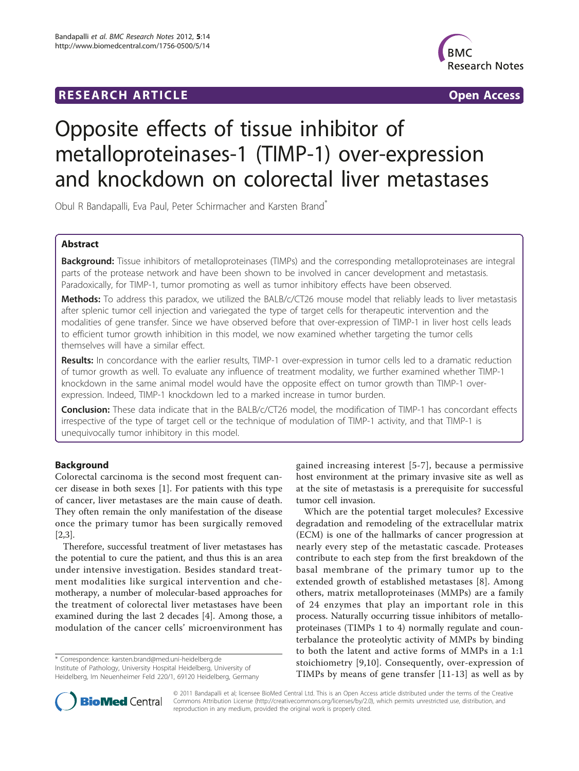# **RESEARCH ARTICLE EXECUTE: CONSIDERING ACCESS**



# Opposite effects of tissue inhibitor of metalloproteinases-1 (TIMP-1) over-expression and knockdown on colorectal liver metastases

Obul R Bandapalli, Eva Paul, Peter Schirmacher and Karsten Brand\*

## Abstract

Background: Tissue inhibitors of metalloproteinases (TIMPs) and the corresponding metalloproteinases are integral parts of the protease network and have been shown to be involved in cancer development and metastasis. Paradoxically, for TIMP-1, tumor promoting as well as tumor inhibitory effects have been observed.

Methods: To address this paradox, we utilized the BALB/c/CT26 mouse model that reliably leads to liver metastasis after splenic tumor cell injection and variegated the type of target cells for therapeutic intervention and the modalities of gene transfer. Since we have observed before that over-expression of TIMP-1 in liver host cells leads to efficient tumor growth inhibition in this model, we now examined whether targeting the tumor cells themselves will have a similar effect.

Results: In concordance with the earlier results, TIMP-1 over-expression in tumor cells led to a dramatic reduction of tumor growth as well. To evaluate any influence of treatment modality, we further examined whether TIMP-1 knockdown in the same animal model would have the opposite effect on tumor growth than TIMP-1 overexpression. Indeed, TIMP-1 knockdown led to a marked increase in tumor burden.

Conclusion: These data indicate that in the BALB/c/CT26 model, the modification of TIMP-1 has concordant effects irrespective of the type of target cell or the technique of modulation of TIMP-1 activity, and that TIMP-1 is unequivocally tumor inhibitory in this model.

# Background

Colorectal carcinoma is the second most frequent cancer disease in both sexes [[1](#page-5-0)]. For patients with this type of cancer, liver metastases are the main cause of death. They often remain the only manifestation of the disease once the primary tumor has been surgically removed [[2,3\]](#page-5-0).

Therefore, successful treatment of liver metastases has the potential to cure the patient, and thus this is an area under intensive investigation. Besides standard treatment modalities like surgical intervention and chemotherapy, a number of molecular-based approaches for the treatment of colorectal liver metastases have been examined during the last 2 decades [[4\]](#page-5-0). Among those, a modulation of the cancer cells' microenvironment has

\* Correspondence: [karsten.brand@med.uni-heidelberg.de](mailto:karsten.brand@med.uni-heidelberg.de) Institute of Pathology, University Hospital Heidelberg, University of Heidelberg, Im Neuenheimer Feld 220/1, 69120 Heidelberg, Germany gained increasing interest [[5](#page-5-0)-[7](#page-5-0)], because a permissive host environment at the primary invasive site as well as at the site of metastasis is a prerequisite for successful tumor cell invasion.

Which are the potential target molecules? Excessive degradation and remodeling of the extracellular matrix (ECM) is one of the hallmarks of cancer progression at nearly every step of the metastatic cascade. Proteases contribute to each step from the first breakdown of the basal membrane of the primary tumor up to the extended growth of established metastases [\[8\]](#page-5-0). Among others, matrix metalloproteinases (MMPs) are a family of 24 enzymes that play an important role in this process. Naturally occurring tissue inhibitors of metalloproteinases (TIMPs 1 to 4) normally regulate and counterbalance the proteolytic activity of MMPs by binding to both the latent and active forms of MMPs in a 1:1 stoichiometry [[9,10](#page-5-0)]. Consequently, over-expression of TIMPs by means of gene transfer [\[11](#page-5-0)-[13](#page-5-0)] as well as by



© 2011 Bandapalli et al; licensee BioMed Central Ltd. This is an Open Access article distributed under the terms of the Creative Commons Attribution License [\(http://creativecommons.org/licenses/by/2.0](http://creativecommons.org/licenses/by/2.0)), which permits unrestricted use, distribution, and reproduction in any medium, provided the original work is properly cited.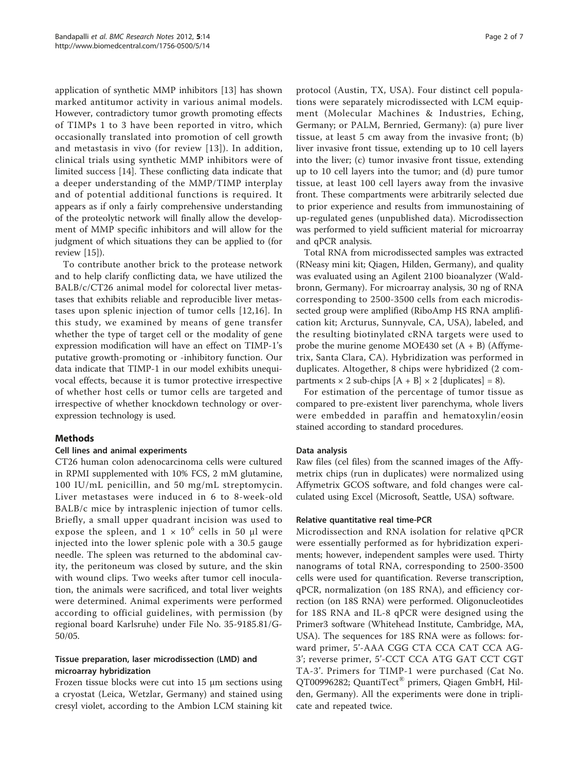application of synthetic MMP inhibitors [[13](#page-5-0)] has shown marked antitumor activity in various animal models. However, contradictory tumor growth promoting effects of TIMPs 1 to 3 have been reported in vitro, which occasionally translated into promotion of cell growth and metastasis in vivo (for review [[13\]](#page-5-0)). In addition, clinical trials using synthetic MMP inhibitors were of limited success [\[14](#page-5-0)]. These conflicting data indicate that a deeper understanding of the MMP/TIMP interplay and of potential additional functions is required. It appears as if only a fairly comprehensive understanding of the proteolytic network will finally allow the development of MMP specific inhibitors and will allow for the judgment of which situations they can be applied to (for review [\[15](#page-5-0)]).

To contribute another brick to the protease network and to help clarify conflicting data, we have utilized the BALB/c/CT26 animal model for colorectal liver metastases that exhibits reliable and reproducible liver metastases upon splenic injection of tumor cells [[12,16](#page-5-0)]. In this study, we examined by means of gene transfer whether the type of target cell or the modality of gene expression modification will have an effect on TIMP-1's putative growth-promoting or -inhibitory function. Our data indicate that TIMP-1 in our model exhibits unequivocal effects, because it is tumor protective irrespective of whether host cells or tumor cells are targeted and irrespective of whether knockdown technology or overexpression technology is used.

## Methods

## Cell lines and animal experiments

CT26 human colon adenocarcinoma cells were cultured in RPMI supplemented with 10% FCS, 2 mM glutamine, 100 IU/mL penicillin, and 50 mg/mL streptomycin. Liver metastases were induced in 6 to 8-week-old BALB/c mice by intrasplenic injection of tumor cells. Briefly, a small upper quadrant incision was used to expose the spleen, and  $1 \times 10^6$  cells in 50 µl were injected into the lower splenic pole with a 30.5 gauge needle. The spleen was returned to the abdominal cavity, the peritoneum was closed by suture, and the skin with wound clips. Two weeks after tumor cell inoculation, the animals were sacrificed, and total liver weights were determined. Animal experiments were performed according to official guidelines, with permission (by regional board Karlsruhe) under File No. 35-9185.81/G-50/05.

## Tissue preparation, laser microdissection (LMD) and microarray hybridization

Frozen tissue blocks were cut into 15 μm sections using a cryostat (Leica, Wetzlar, Germany) and stained using cresyl violet, according to the Ambion LCM staining kit

protocol (Austin, TX, USA). Four distinct cell populations were separately microdissected with LCM equipment (Molecular Machines & Industries, Eching, Germany; or PALM, Bernried, Germany): (a) pure liver tissue, at least 5 cm away from the invasive front; (b) liver invasive front tissue, extending up to 10 cell layers into the liver; (c) tumor invasive front tissue, extending up to 10 cell layers into the tumor; and (d) pure tumor tissue, at least 100 cell layers away from the invasive front. These compartments were arbitrarily selected due to prior experience and results from immunostaining of up-regulated genes (unpublished data). Microdissection was performed to yield sufficient material for microarray and qPCR analysis.

Total RNA from microdissected samples was extracted (RNeasy mini kit; Qiagen, Hilden, Germany), and quality was evaluated using an Agilent 2100 bioanalyzer (Waldbronn, Germany). For microarray analysis, 30 ng of RNA corresponding to 2500-3500 cells from each microdissected group were amplified (RiboAmp HS RNA amplification kit; Arcturus, Sunnyvale, CA, USA), labeled, and the resulting biotinylated cRNA targets were used to probe the murine genome MOE430 set  $(A + B)$  (Affymetrix, Santa Clara, CA). Hybridization was performed in duplicates. Altogether, 8 chips were hybridized (2 compartments  $\times$  2 sub-chips  $[A + B] \times 2$  [duplicates] = 8).

For estimation of the percentage of tumor tissue as compared to pre-existent liver parenchyma, whole livers were embedded in paraffin and hematoxylin/eosin stained according to standard procedures.

# Data analysis

Raw files (cel files) from the scanned images of the Affymetrix chips (run in duplicates) were normalized using Affymetrix GCOS software, and fold changes were calculated using Excel (Microsoft, Seattle, USA) software.

## Relative quantitative real time-PCR

Microdissection and RNA isolation for relative qPCR were essentially performed as for hybridization experiments; however, independent samples were used. Thirty nanograms of total RNA, corresponding to 2500-3500 cells were used for quantification. Reverse transcription, qPCR, normalization (on 18S RNA), and efficiency correction (on 18S RNA) were performed. Oligonucleotides for 18S RNA and IL-8 qPCR were designed using the Primer3 software (Whitehead Institute, Cambridge, MA, USA). The sequences for 18S RNA were as follows: forward primer, 5'-AAA CGG CTA CCA CAT CCA AG-3'; reverse primer, 5'-CCT CCA ATG GAT CCT CGT TA-3'. Primers for TIMP-1 were purchased (Cat No. QT00996282; QuantiTect® primers, Qiagen GmbH, Hilden, Germany). All the experiments were done in triplicate and repeated twice.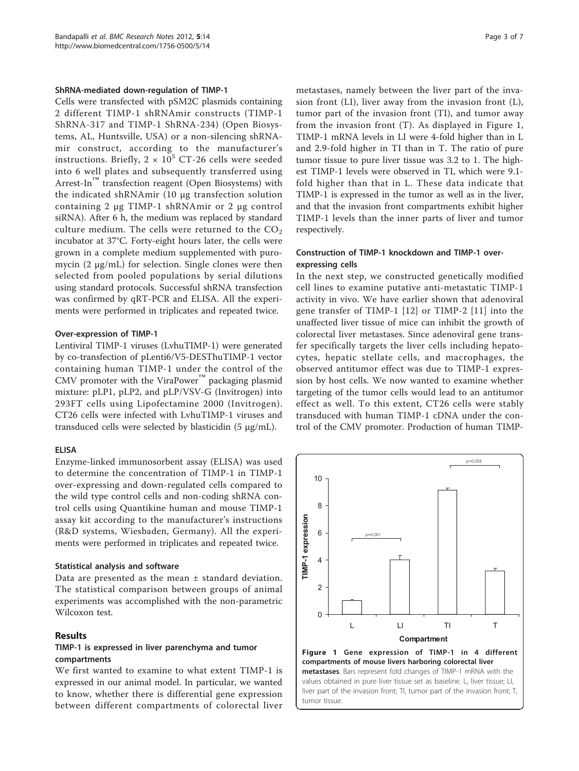#### ShRNA-mediated down-regulation of TIMP-1

Cells were transfected with pSM2C plasmids containing 2 different TIMP-1 shRNAmir constructs (TIMP-1 ShRNA-317 and TIMP-1 ShRNA-234) (Open Biosystems, AL, Huntsville, USA) or a non-silencing shRNAmir construct, according to the manufacturer's instructions. Briefly,  $2 \times 10^5$  CT-26 cells were seeded into 6 well plates and subsequently transferred using Arrest-In™ transfection reagent (Open Biosystems) with the indicated shRNAmir (10 μg transfection solution containing 2 μg TIMP-1 shRNAmir or 2 μg control siRNA). After 6 h, the medium was replaced by standard culture medium. The cells were returned to the  $CO<sub>2</sub>$ incubator at 37°C. Forty-eight hours later, the cells were grown in a complete medium supplemented with puromycin (2 μg/mL) for selection. Single clones were then selected from pooled populations by serial dilutions using standard protocols. Successful shRNA transfection was confirmed by qRT-PCR and ELISA. All the experiments were performed in triplicates and repeated twice.

### Over-expression of TIMP-1

Lentiviral TIMP-1 viruses (LvhuTIMP-1) were generated by co-transfection of pLenti6/V5-DESThuTIMP-1 vector containing human TIMP-1 under the control of the CMV promoter with the ViraPower™ packaging plasmid mixture: pLP1, pLP2, and pLP/VSV-G (Invitrogen) into 293FT cells using Lipofectamine 2000 (Invitrogen). CT26 cells were infected with LvhuTIMP-1 viruses and transduced cells were selected by blasticidin (5 μg/mL).

## ELISA

Enzyme-linked immunosorbent assay (ELISA) was used to determine the concentration of TIMP-1 in TIMP-1 over-expressing and down-regulated cells compared to the wild type control cells and non-coding shRNA control cells using Quantikine human and mouse TIMP-1 assay kit according to the manufacturer's instructions (R&D systems, Wiesbaden, Germany). All the experiments were performed in triplicates and repeated twice.

#### Statistical analysis and software

Data are presented as the mean ± standard deviation. The statistical comparison between groups of animal experiments was accomplished with the non-parametric Wilcoxon test.

### Results

## TIMP-1 is expressed in liver parenchyma and tumor compartments

We first wanted to examine to what extent TIMP-1 is expressed in our animal model. In particular, we wanted to know, whether there is differential gene expression between different compartments of colorectal liver metastases, namely between the liver part of the invasion front (LI), liver away from the invasion front (L), tumor part of the invasion front (TI), and tumor away from the invasion front (T). As displayed in Figure 1, TIMP-1 mRNA levels in LI were 4-fold higher than in L and 2.9-fold higher in TI than in T. The ratio of pure tumor tissue to pure liver tissue was 3.2 to 1. The highest TIMP-1 levels were observed in TI, which were 9.1 fold higher than that in L. These data indicate that TIMP-1 is expressed in the tumor as well as in the liver, and that the invasion front compartments exhibit higher TIMP-1 levels than the inner parts of liver and tumor respectively.

## Construction of TIMP-1 knockdown and TIMP-1 overexpressing cells

In the next step, we constructed genetically modified cell lines to examine putative anti-metastatic TIMP-1 activity in vivo. We have earlier shown that adenoviral gene transfer of TIMP-1 [[12](#page-5-0)] or TIMP-2 [[11\]](#page-5-0) into the unaffected liver tissue of mice can inhibit the growth of colorectal liver metastases. Since adenoviral gene transfer specifically targets the liver cells including hepatocytes, hepatic stellate cells, and macrophages, the observed antitumor effect was due to TIMP-1 expression by host cells. We now wanted to examine whether targeting of the tumor cells would lead to an antitumor effect as well. To this extent, CT26 cells were stably transduced with human TIMP-1 cDNA under the control of the CMV promoter. Production of human TIMP-

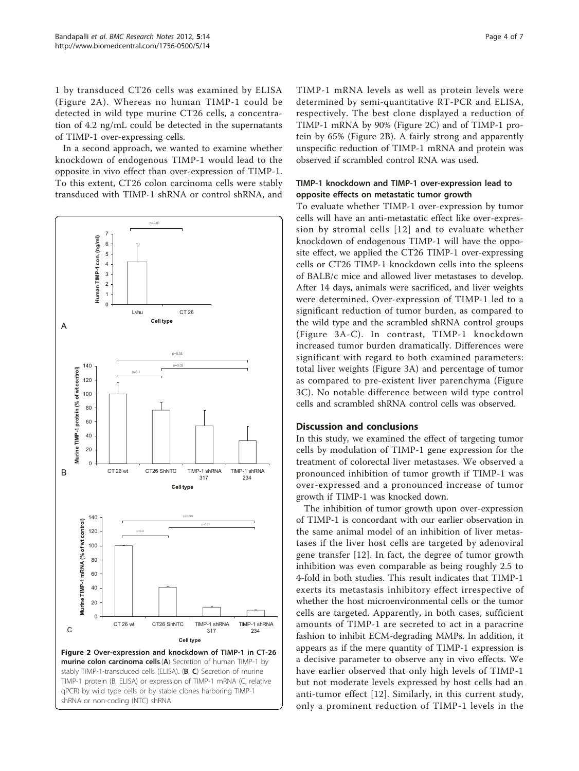1 by transduced CT26 cells was examined by ELISA (Figure 2A). Whereas no human TIMP-1 could be detected in wild type murine CT26 cells, a concentration of 4.2 ng/mL could be detected in the supernatants of TIMP-1 over-expressing cells.

In a second approach, we wanted to examine whether knockdown of endogenous TIMP-1 would lead to the opposite in vivo effect than over-expression of TIMP-1. To this extent, CT26 colon carcinoma cells were stably transduced with TIMP-1 shRNA or control shRNA, and



shRNA or non-coding (NTC) shRNA.

TIMP-1 mRNA levels as well as protein levels were determined by semi-quantitative RT-PCR and ELISA, respectively. The best clone displayed a reduction of TIMP-1 mRNA by 90% (Figure 2C) and of TIMP-1 protein by 65% (Figure 2B). A fairly strong and apparently unspecific reduction of TIMP-1 mRNA and protein was observed if scrambled control RNA was used.

## TIMP-1 knockdown and TIMP-1 over-expression lead to opposite effects on metastatic tumor growth

To evaluate whether TIMP-1 over-expression by tumor cells will have an anti-metastatic effect like over-expression by stromal cells [[12\]](#page-5-0) and to evaluate whether knockdown of endogenous TIMP-1 will have the opposite effect, we applied the CT26 TIMP-1 over-expressing cells or CT26 TIMP-1 knockdown cells into the spleens of BALB/c mice and allowed liver metastases to develop. After 14 days, animals were sacrificed, and liver weights were determined. Over-expression of TIMP-1 led to a significant reduction of tumor burden, as compared to the wild type and the scrambled shRNA control groups (Figure [3A-C](#page-4-0)). In contrast, TIMP-1 knockdown increased tumor burden dramatically. Differences were significant with regard to both examined parameters: total liver weights (Figure [3A\)](#page-4-0) and percentage of tumor as compared to pre-existent liver parenchyma (Figure [3C\)](#page-4-0). No notable difference between wild type control cells and scrambled shRNA control cells was observed.

# Discussion and conclusions

In this study, we examined the effect of targeting tumor cells by modulation of TIMP-1 gene expression for the treatment of colorectal liver metastases. We observed a pronounced inhibition of tumor growth if TIMP-1 was over-expressed and a pronounced increase of tumor growth if TIMP-1 was knocked down.

The inhibition of tumor growth upon over-expression of TIMP-1 is concordant with our earlier observation in the same animal model of an inhibition of liver metastases if the liver host cells are targeted by adenoviral gene transfer [[12](#page-5-0)]. In fact, the degree of tumor growth inhibition was even comparable as being roughly 2.5 to 4-fold in both studies. This result indicates that TIMP-1 exerts its metastasis inhibitory effect irrespective of whether the host microenvironmental cells or the tumor cells are targeted. Apparently, in both cases, sufficient amounts of TIMP-1 are secreted to act in a paracrine fashion to inhibit ECM-degrading MMPs. In addition, it appears as if the mere quantity of TIMP-1 expression is a decisive parameter to observe any in vivo effects. We have earlier observed that only high levels of TIMP-1 but not moderate levels expressed by host cells had an anti-tumor effect [[12](#page-5-0)]. Similarly, in this current study, only a prominent reduction of TIMP-1 levels in the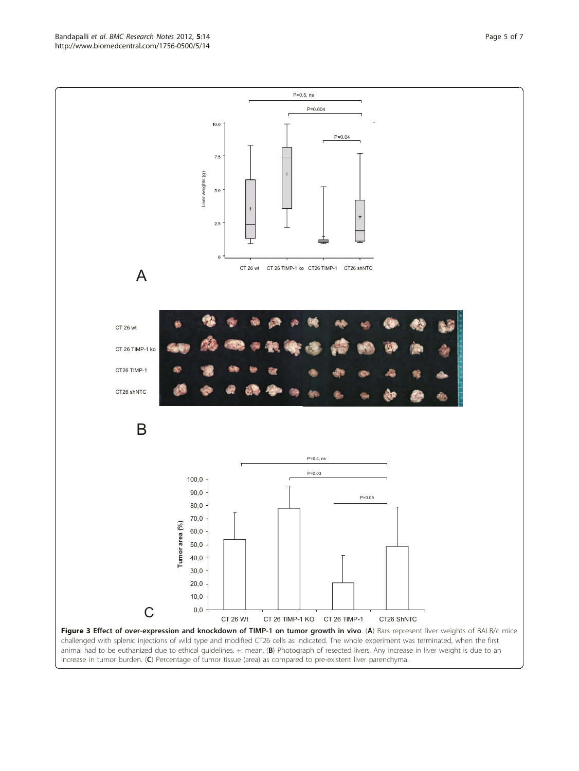<span id="page-4-0"></span>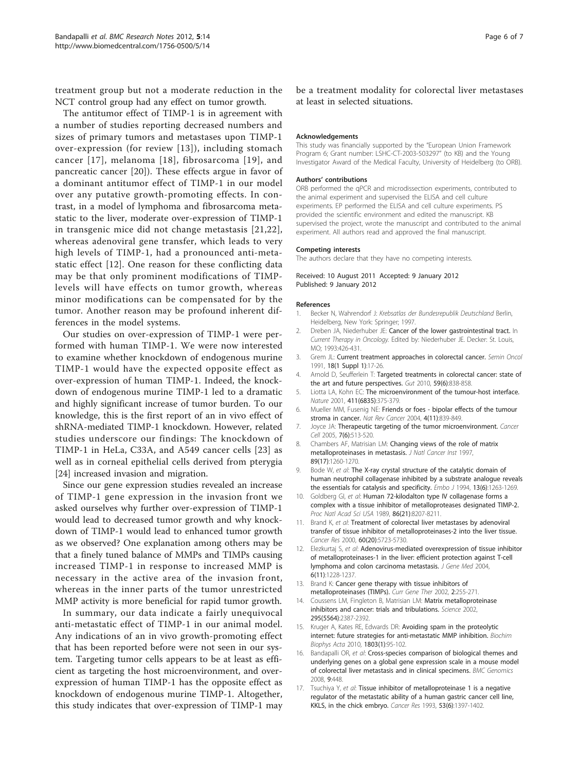<span id="page-5-0"></span>treatment group but not a moderate reduction in the NCT control group had any effect on tumor growth.

The antitumor effect of TIMP-1 is in agreement with a number of studies reporting decreased numbers and sizes of primary tumors and metastases upon TIMP-1 over-expression (for review [13]), including stomach cancer [17], melanoma [\[18](#page-6-0)], fibrosarcoma [[19\]](#page-6-0), and pancreatic cancer [[20\]](#page-6-0)). These effects argue in favor of a dominant antitumor effect of TIMP-1 in our model over any putative growth-promoting effects. In contrast, in a model of lymphoma and fibrosarcoma metastatic to the liver, moderate over-expression of TIMP-1 in transgenic mice did not change metastasis [[21](#page-6-0),[22](#page-6-0)], whereas adenoviral gene transfer, which leads to very high levels of TIMP-1, had a pronounced anti-metastatic effect [12]. One reason for these conflicting data may be that only prominent modifications of TIMPlevels will have effects on tumor growth, whereas minor modifications can be compensated for by the tumor. Another reason may be profound inherent differences in the model systems.

Our studies on over-expression of TIMP-1 were performed with human TIMP-1. We were now interested to examine whether knockdown of endogenous murine TIMP-1 would have the expected opposite effect as over-expression of human TIMP-1. Indeed, the knockdown of endogenous murine TIMP-1 led to a dramatic and highly significant increase of tumor burden. To our knowledge, this is the first report of an in vivo effect of shRNA-mediated TIMP-1 knockdown. However, related studies underscore our findings: The knockdown of TIMP-1 in HeLa, C33A, and A549 cancer cells [\[23](#page-6-0)] as well as in corneal epithelial cells derived from pterygia [[24\]](#page-6-0) increased invasion and migration.

Since our gene expression studies revealed an increase of TIMP-1 gene expression in the invasion front we asked ourselves why further over-expression of TIMP-1 would lead to decreased tumor growth and why knockdown of TIMP-1 would lead to enhanced tumor growth as we observed? One explanation among others may be that a finely tuned balance of MMPs and TIMPs causing increased TIMP-1 in response to increased MMP is necessary in the active area of the invasion front, whereas in the inner parts of the tumor unrestricted MMP activity is more beneficial for rapid tumor growth.

In summary, our data indicate a fairly unequivocal anti-metastatic effect of TIMP-1 in our animal model. Any indications of an in vivo growth-promoting effect that has been reported before were not seen in our system. Targeting tumor cells appears to be at least as efficient as targeting the host microenvironment, and overexpression of human TIMP-1 has the opposite effect as knockdown of endogenous murine TIMP-1. Altogether, this study indicates that over-expression of TIMP-1 may be a treatment modality for colorectal liver metastases at least in selected situations.

#### Acknowledgements

This study was financially supported by the "European Union Framework Program 6; Grant number: LSHC-CT-2003-503297" (to KB) and the Young Investigator Award of the Medical Faculty, University of Heidelberg (to ORB).

#### Authors' contributions

ORB performed the qPCR and microdissection experiments, contributed to the animal experiment and supervised the ELISA and cell culture experiments. EP performed the ELISA and cell culture experiments. PS provided the scientific environment and edited the manuscript. KB supervised the project, wrote the manuscript and contributed to the animal experiment. All authors read and approved the final manuscript.

#### Competing interests

The authors declare that they have no competing interests.

#### Received: 10 August 2011 Accepted: 9 January 2012 Published: 9 January 2012

#### References

- 1. Becker N, Wahrendorf J: Krebsatlas der Bundesrepublik Deutschland Berlin, Heidelberg, New York: Springer; 1997.
- 2. Dreben JA, Niederhuber JE: Cancer of the lower gastrointestinal tract. In Current Therapy in Oncology. Edited by: Niederhuber JE. Decker: St. Louis, MO; 1993:426-431.
- 3. Grem JL: [Current treatment approaches in colorectal cancer.](http://www.ncbi.nlm.nih.gov/pubmed/1992531?dopt=Abstract) Semin Oncol 1991, 18(1 Suppl 1):17-26.
- 4. Arnold D, Seufferlein T: [Targeted treatments in colorectal cancer: state of](http://www.ncbi.nlm.nih.gov/pubmed/20551469?dopt=Abstract) [the art and future perspectives.](http://www.ncbi.nlm.nih.gov/pubmed/20551469?dopt=Abstract) Gut 2010, 59(6):838-858.
- 5. Liotta LA, Kohn EC: [The microenvironment of the tumour-host interface.](http://www.ncbi.nlm.nih.gov/pubmed/11357145?dopt=Abstract) Nature 2001, 411(6835):375-379.
- 6. Mueller MM, Fusenig NE: [Friends or foes bipolar effects of the tumour](http://www.ncbi.nlm.nih.gov/pubmed/15516957?dopt=Abstract) [stroma in cancer.](http://www.ncbi.nlm.nih.gov/pubmed/15516957?dopt=Abstract) Nat Rev Cancer 2004, 4(11):839-849.
- 7. Joyce JA: [Therapeutic targeting of the tumor microenvironment.](http://www.ncbi.nlm.nih.gov/pubmed/15950901?dopt=Abstract) Cancer Cell 2005, 7(6):513-520.
- 8. Chambers AF, Matrisian LM: [Changing views of the role of matrix](http://www.ncbi.nlm.nih.gov/pubmed/9293916?dopt=Abstract) [metalloproteinases in metastasis.](http://www.ncbi.nlm.nih.gov/pubmed/9293916?dopt=Abstract) *J Natl Cancer Inst* 1997, 89(17):1260-1270.
- 9. Bode W, et al: [The X-ray crystal structure of the catalytic domain of](http://www.ncbi.nlm.nih.gov/pubmed/8137810?dopt=Abstract) [human neutrophil collagenase inhibited by a substrate analogue reveals](http://www.ncbi.nlm.nih.gov/pubmed/8137810?dopt=Abstract) [the essentials for catalysis and specificity.](http://www.ncbi.nlm.nih.gov/pubmed/8137810?dopt=Abstract) Embo J 1994, 13(6):1263-1269.
- 10. Goldberg GI, et al: [Human 72-kilodalton type IV collagenase forms a](http://www.ncbi.nlm.nih.gov/pubmed/2554304?dopt=Abstract) [complex with a tissue inhibitor of metalloproteases designated TIMP-2.](http://www.ncbi.nlm.nih.gov/pubmed/2554304?dopt=Abstract) Proc Natl Acad Sci USA 1989, 86(21):8207-8211.
- 11. Brand K, et al: [Treatment of colorectal liver metastases by adenoviral](http://www.ncbi.nlm.nih.gov/pubmed/11059766?dopt=Abstract) [transfer of tissue inhibitor of metalloproteinases-2 into the liver tissue.](http://www.ncbi.nlm.nih.gov/pubmed/11059766?dopt=Abstract) Cancer Res 2000, 60(20):5723-5730.
- 12. Elezkurtaj S, et al: [Adenovirus-mediated overexpression of tissue inhibitor](http://www.ncbi.nlm.nih.gov/pubmed/15390257?dopt=Abstract) [of metalloproteinases-1 in the liver: efficient protection against T-cell](http://www.ncbi.nlm.nih.gov/pubmed/15390257?dopt=Abstract) [lymphoma and colon carcinoma metastasis.](http://www.ncbi.nlm.nih.gov/pubmed/15390257?dopt=Abstract) J Gene Med 2004, 6(11):1228-1237.
- 13. Brand K: [Cancer gene therapy with tissue inhibitors of](http://www.ncbi.nlm.nih.gov/pubmed/12109221?dopt=Abstract) [metalloproteinases \(TIMPs\).](http://www.ncbi.nlm.nih.gov/pubmed/12109221?dopt=Abstract) Curr Gene Ther 2002, 2:255-271.
- 14. Coussens LM, Fingleton B, Matrisian LM: [Matrix metalloproteinase](http://www.ncbi.nlm.nih.gov/pubmed/11923519?dopt=Abstract) [inhibitors and cancer: trials and tribulations.](http://www.ncbi.nlm.nih.gov/pubmed/11923519?dopt=Abstract) Science 2002, 295(5564):2387-2392.
- 15. Kruger A, Kates RE, Edwards DR: [Avoiding spam in the proteolytic](http://www.ncbi.nlm.nih.gov/pubmed/19800374?dopt=Abstract) [internet: future strategies for anti-metastatic MMP inhibition.](http://www.ncbi.nlm.nih.gov/pubmed/19800374?dopt=Abstract) Biochim Biophys Acta 2010, 1803(1):95-102.
- 16. Bandapalli OR, et al: [Cross-species comparison of biological themes and](http://www.ncbi.nlm.nih.gov/pubmed/18823562?dopt=Abstract) [underlying genes on a global gene expression scale in a mouse model](http://www.ncbi.nlm.nih.gov/pubmed/18823562?dopt=Abstract) [of colorectal liver metastasis and in clinical specimens.](http://www.ncbi.nlm.nih.gov/pubmed/18823562?dopt=Abstract) BMC Genomics 2008, 9:448.
- 17. Tsuchiya Y, et al: [Tissue inhibitor of metalloproteinase 1 is a negative](http://www.ncbi.nlm.nih.gov/pubmed/8443819?dopt=Abstract) [regulator of the metastatic ability of a human gastric cancer cell line,](http://www.ncbi.nlm.nih.gov/pubmed/8443819?dopt=Abstract) [KKLS, in the chick embryo.](http://www.ncbi.nlm.nih.gov/pubmed/8443819?dopt=Abstract) Cancer Res 1993, 53(6):1397-1402.